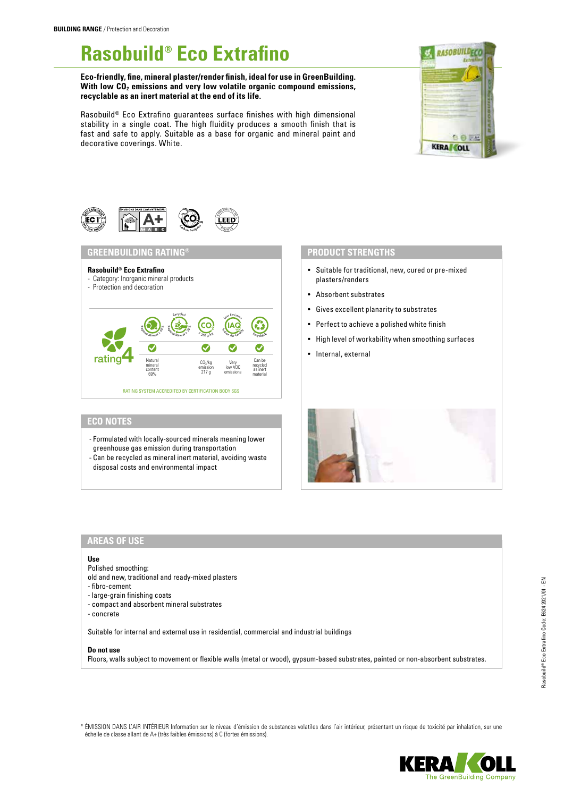# **Rasobuild® Eco Extrafino**

**Eco-friendly, fine, mineral plaster/render finish, ideal for use in GreenBuilding.**  With low CO<sub>2</sub> emissions and very low volatile organic compound emissions, **recyclable as an inert material at the end of its life.**

Rasobuild® Eco Extrafino guarantees surface finishes with high dimensional stability in a single coat. The high fluidity produces a smooth finish that is fast and safe to apply. Suitable as a base for organic and mineral paint and decorative coverings. White.





## **GREENBUILDING RATING® PRODUCT STRENGTHS**



# **ECO NOTES**

- Formulated with locally-sourced minerals meaning lower greenhouse gas emission during transportation
- Can be recycled as mineral inert material, avoiding waste disposal costs and environmental impact

- Suitable for traditional, new, cured or pre-mixed plasters/renders
- Absorbent substrates
- Gives excellent planarity to substrates
- Perfect to achieve a polished white finish
- High level of workability when smoothing surfaces
- Internal, external



# **AREAS OF USE**

#### **Use**

Polished smoothing:

- old and new, traditional and ready-mixed plasters
- fibro-cement
- large-grain finishing coats
- compact and absorbent mineral substrates
- concrete

Suitable for internal and external use in residential, commercial and industrial buildings

#### **Do not use**

Floors, walls subject to movement or flexible walls (metal or wood), gypsum-based substrates, painted or non-absorbent substrates.

\* ÉMISSION DANS L'AIR INTÉRIEUR Information sur le niveau d'émission de substances volatiles dans l'air intérieur, présentant un risque de toxicité par inhalation, sur une échelle de classe allant de A+ (très faibles émissions) à C (fortes émissions).

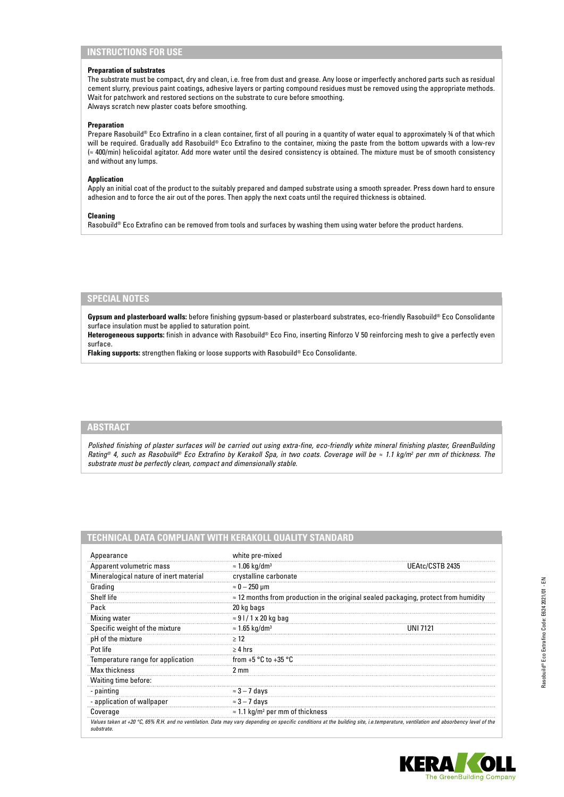# **INSTRUCTIONS FOR USE**

### **Preparation of substrates**

The substrate must be compact, dry and clean, i.e. free from dust and grease. Any loose or imperfectly anchored parts such as residual cement slurry, previous paint coatings, adhesive layers or parting compound residues must be removed using the appropriate methods. Wait for patchwork and restored sections on the substrate to cure before smoothing. Always scratch new plaster coats before smoothing.

#### **Preparation**

Prepare Rasobuild® Eco Extrafino in a clean container, first of all pouring in a quantity of water equal to approximately ¾ of that which will be required. Gradually add Rasobuild® Eco Extrafino to the container, mixing the paste from the bottom upwards with a low-rev (≈ 400/min) helicoidal agitator. Add more water until the desired consistency is obtained. The mixture must be of smooth consistency and without any lumps.

#### **Application**

Apply an initial coat of the product to the suitably prepared and damped substrate using a smooth spreader. Press down hard to ensure adhesion and to force the air out of the pores. Then apply the next coats until the required thickness is obtained.

#### **Cleaning**

Rasobuild® Eco Extrafino can be removed from tools and surfaces by washing them using water before the product hardens.

#### **SPECIAL NOTES**

**Gypsum and plasterboard walls:** before finishing gypsum-based or plasterboard substrates, eco-friendly Rasobuild® Eco Consolidante surface insulation must be applied to saturation point.

**Heterogeneous supports:** finish in advance with Rasobuild® Eco Fino, inserting Rinforzo V 50 reinforcing mesh to give a perfectly even surface.

**Flaking supports:** strengthen flaking or loose supports with Rasobuild® Eco Consolidante.

#### **ABSTRACT**

Polished finishing of plaster surfaces will be carried out using extra-fine, eco-friendly white mineral finishing plaster, GreenBuilding *Rating® 4, such as Rasobuild® Eco Extrafino by Kerakoll Spa, in two coats. Coverage will be ≈ 1.1 kg/m<sup>2</sup> per mm of thickness. The substrate must be perfectly clean, compact and dimensionally stable.*

# **TECHNICAL DATA COMPLIANT WITH KERAKOLL QUALITY STANDARD**

| Appearance                             | white pre-mixed                                                                             |                                                                                                                                                                                    |
|----------------------------------------|---------------------------------------------------------------------------------------------|------------------------------------------------------------------------------------------------------------------------------------------------------------------------------------|
| Apparent volumetric mass               | $\approx$ 1.06 kg/dm <sup>3</sup>                                                           | UEAtc/CSTB 2435                                                                                                                                                                    |
| Mineralogical nature of inert material | crystalline carbonate                                                                       |                                                                                                                                                                                    |
| Grading                                | $\approx 0-250$ µm                                                                          |                                                                                                                                                                                    |
| Shelf life                             | $\approx$ 12 months from production in the original sealed packaging, protect from humidity |                                                                                                                                                                                    |
| Pack                                   | 20 kg bags                                                                                  |                                                                                                                                                                                    |
| Mixing water                           | $\approx$ 9 l / 1 x 20 kg bag                                                               |                                                                                                                                                                                    |
| Specific weight of the mixture         | $\approx$ 1.65 kg/dm <sup>3</sup>                                                           | IINI 7121                                                                                                                                                                          |
| pH of the mixture                      | >12                                                                                         |                                                                                                                                                                                    |
| Pot life                               | $\geq 4$ hrs                                                                                |                                                                                                                                                                                    |
| Temperature range for application      | from $+5 °C$ to $+35 °C$                                                                    |                                                                                                                                                                                    |
| Max thickness                          | 2 mm                                                                                        |                                                                                                                                                                                    |
| Waiting time before:                   |                                                                                             |                                                                                                                                                                                    |
| - painting                             | $\approx$ 3 – 7 days                                                                        |                                                                                                                                                                                    |
| - application of wallpaper             | $\approx$ 3 – 7 days                                                                        |                                                                                                                                                                                    |
| Coverage                               | $\approx$ 1.1 kg/m <sup>2</sup> per mm of thickness                                         |                                                                                                                                                                                    |
| substrate.                             |                                                                                             | Values taken at +20 °C, 65% R.H. and no ventilation. Data may vary depending on specific conditions at the building site, i.e.temperature, ventilation and absorbency level of the |